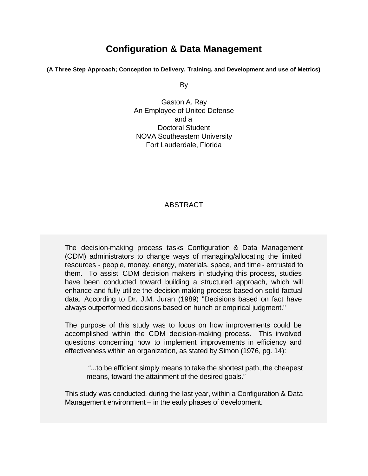# **Configuration & Data Management**

**(A Three Step Approach; Conception to Delivery, Training, and Development and use of Metrics)**

By

Gaston A. Ray An Employee of United Defense and a Doctoral Student NOVA Southeastern University Fort Lauderdale, Florida

#### ABSTRACT

The decision-making process tasks Configuration & Data Management (CDM) administrators to change ways of managing/allocating the limited resources - people, money, energy, materials, space, and time - entrusted to them. To assist CDM decision makers in studying this process, studies have been conducted toward building a structured approach, which will enhance and fully utilize the decision-making process based on solid factual data. According to Dr. J.M. Juran (1989) "Decisions based on fact have always outperformed decisions based on hunch or empirical judgment."

The purpose of this study was to focus on how improvements could be accomplished within the CDM decision-making process. This involved questions concerning how to implement improvements in efficiency and effectiveness within an organization, as stated by Simon (1976, pg. 14):

 "...to be efficient simply means to take the shortest path, the cheapest means, toward the attainment of the desired goals."

This study was conducted, during the last year, within a Configuration & Data Management environment – in the early phases of development.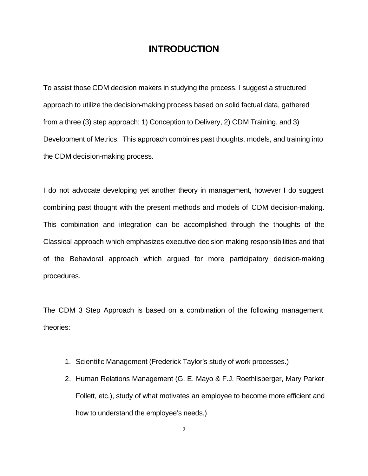## **INTRODUCTION**

To assist those CDM decision makers in studying the process, I suggest a structured approach to utilize the decision-making process based on solid factual data, gathered from a three (3) step approach; 1) Conception to Delivery, 2) CDM Training, and 3) Development of Metrics. This approach combines past thoughts, models, and training into the CDM decision-making process.

I do not advocate developing yet another theory in management, however I do suggest combining past thought with the present methods and models of CDM decision-making. This combination and integration can be accomplished through the thoughts of the Classical approach which emphasizes executive decision making responsibilities and that of the Behavioral approach which argued for more participatory decision-making procedures.

The CDM 3 Step Approach is based on a combination of the following management theories:

- 1. Scientific Management (Frederick Taylor's study of work processes.)
- 2. Human Relations Management (G. E. Mayo & F.J. Roethlisberger, Mary Parker Follett, etc.), study of what motivates an employee to become more efficient and how to understand the employee's needs.)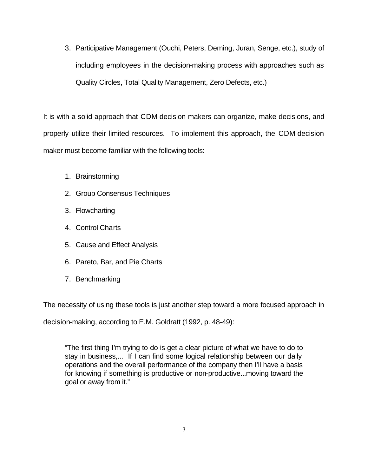3. Participative Management (Ouchi, Peters, Deming, Juran, Senge, etc.), study of including employees in the decision-making process with approaches such as Quality Circles, Total Quality Management, Zero Defects, etc.)

It is with a solid approach that CDM decision makers can organize, make decisions, and properly utilize their limited resources. To implement this approach, the CDM decision maker must become familiar with the following tools:

- 1. Brainstorming
- 2. Group Consensus Techniques
- 3. Flowcharting
- 4. Control Charts
- 5. Cause and Effect Analysis
- 6. Pareto, Bar, and Pie Charts
- 7. Benchmarking

The necessity of using these tools is just another step toward a more focused approach in

decision-making, according to E.M. Goldratt (1992, p. 48-49):

"The first thing I'm trying to do is get a clear picture of what we have to do to stay in business,... If I can find some logical relationship between our daily operations and the overall performance of the company then I'll have a basis for knowing if something is productive or non-productive...moving toward the goal or away from it."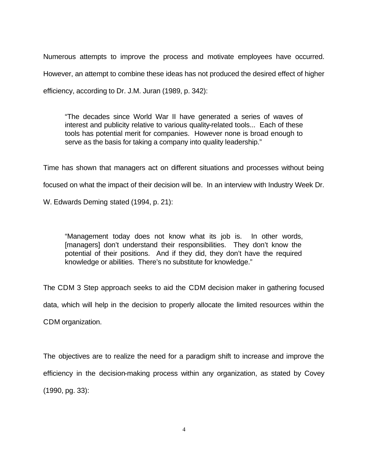Numerous attempts to improve the process and motivate employees have occurred. However, an attempt to combine these ideas has not produced the desired effect of higher efficiency, according to Dr. J.M. Juran (1989, p. 342):

"The decades since World War II have generated a series of waves of interest and publicity relative to various quality-related tools... Each of these tools has potential merit for companies. However none is broad enough to serve as the basis for taking a company into quality leadership."

Time has shown that managers act on different situations and processes without being focused on what the impact of their decision will be. In an interview with Industry Week Dr.

W. Edwards Deming stated (1994, p. 21):

"Management today does not know what its job is. In other words, [managers] don't understand their responsibilities. They don't know the potential of their positions. And if they did, they don't have the required knowledge or abilities. There's no substitute for knowledge."

The CDM 3 Step approach seeks to aid the CDM decision maker in gathering focused

data, which will help in the decision to properly allocate the limited resources within the

CDM organization.

The objectives are to realize the need for a paradigm shift to increase and improve the efficiency in the decision-making process within any organization, as stated by Covey (1990, pg. 33):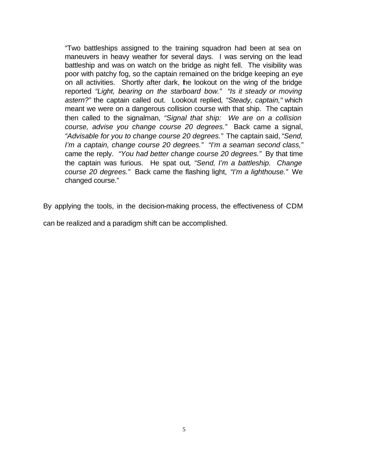"Two battleships assigned to the training squadron had been at sea on maneuvers in heavy weather for several days. I was serving on the lead battleship and was on watch on the bridge as night fell. The visibility was poor with patchy fog, so the captain remained on the bridge keeping an eye on all activities. Shortly after dark, the lookout on the wing of the bridge reported *"Light, bearing on the starboard bow." "Is it steady or moving astern?"* the captain called out. Lookout replied*, "Steady, captain,"* which meant we were on a dangerous collision course with that ship. The captain then called to the signalman, *"Signal that ship: We are on a collision course, advise you change course 20 degrees."* Back came a signal, *"Advisable for you to change course 20 degrees."* The captain said, *"Send, I'm a captain, change course 20 degrees." "I'm a seaman second class,"* came the reply. *"You had better change course 20 degrees."* By that time the captain was furious. He spat out*, "Send, I'm a battleship. Change course 20 degrees."* Back came the flashing light, *"I'm a lighthouse."* We changed course."

By applying the tools, in the decision-making process, the effectiveness of CDM

can be realized and a paradigm shift can be accomplished.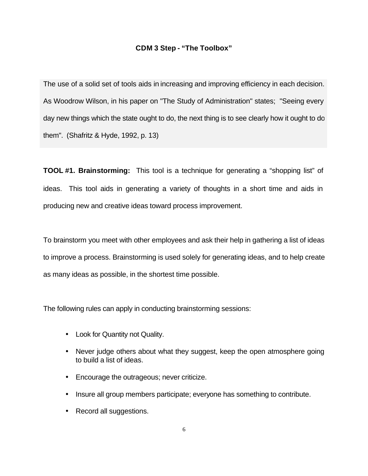#### **CDM 3 Step - "The Toolbox"**

The use of a solid set of tools aids in increasing and improving efficiency in each decision. As Woodrow Wilson, in his paper on "The Study of Administration" states; "Seeing every day new things which the state ought to do, the next thing is to see clearly how it ought to do them". (Shafritz & Hyde, 1992, p. 13)

**TOOL #1. Brainstorming:** This tool is a technique for generating a "shopping list" of ideas. This tool aids in generating a variety of thoughts in a short time and aids in producing new and creative ideas toward process improvement.

To brainstorm you meet with other employees and ask their help in gathering a list of ideas to improve a process. Brainstorming is used solely for generating ideas, and to help create as many ideas as possible, in the shortest time possible.

The following rules can apply in conducting brainstorming sessions:

- Look for Quantity not Quality.
- Never judge others about what they suggest, keep the open atmosphere going to build a list of ideas.
- Encourage the outrageous; never criticize.
- Insure all group members participate; everyone has something to contribute.
- Record all suggestions.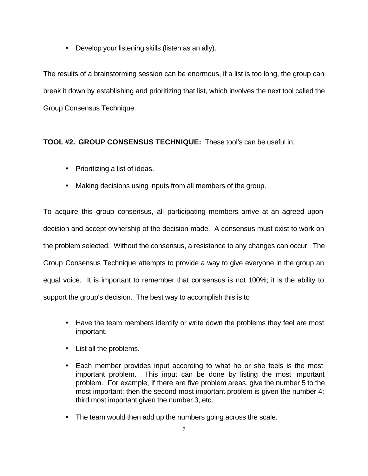• Develop your listening skills (listen as an ally).

The results of a brainstorming session can be enormous, if a list is too long, the group can break it down by establishing and prioritizing that list, which involves the next tool called the Group Consensus Technique.

### **TOOL #2. GROUP CONSENSUS TECHNIQUE:** These tool's can be useful in;

- Prioritizing a list of ideas.
- Making decisions using inputs from all members of the group.

To acquire this group consensus, all participating members arrive at an agreed upon decision and accept ownership of the decision made. A consensus must exist to work on the problem selected. Without the consensus, a resistance to any changes can occur. The Group Consensus Technique attempts to provide a way to give everyone in the group an equal voice. It is important to remember that consensus is not 100%; it is the ability to support the group's decision. The best way to accomplish this is to

- Have the team members identify or write down the problems they feel are most important.
- List all the problems.
- Each member provides input according to what he or she feels is the most important problem. This input can be done by listing the most important problem. For example, if there are five problem areas, give the number 5 to the most important; then the second most important problem is given the number 4; third most important given the number 3, etc.
- The team would then add up the numbers going across the scale.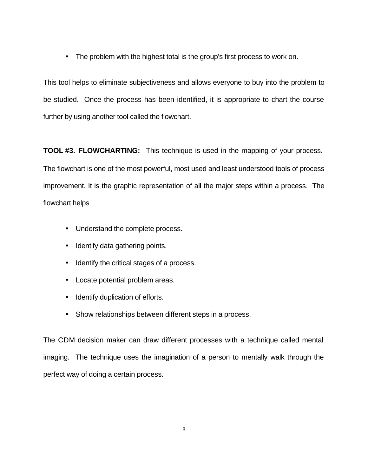• The problem with the highest total is the group's first process to work on.

This tool helps to eliminate subjectiveness and allows everyone to buy into the problem to be studied. Once the process has been identified, it is appropriate to chart the course further by using another tool called the flowchart.

**TOOL #3. FLOWCHARTING:** This technique is used in the mapping of your process. The flowchart is one of the most powerful, most used and least understood tools of process improvement. It is the graphic representation of all the major steps within a process. The flowchart helps

- Understand the complete process.
- Identify data gathering points.
- Identify the critical stages of a process.
- Locate potential problem areas.
- Identify duplication of efforts.
- Show relationships between different steps in a process.

The CDM decision maker can draw different processes with a technique called mental imaging. The technique uses the imagination of a person to mentally walk through the perfect way of doing a certain process.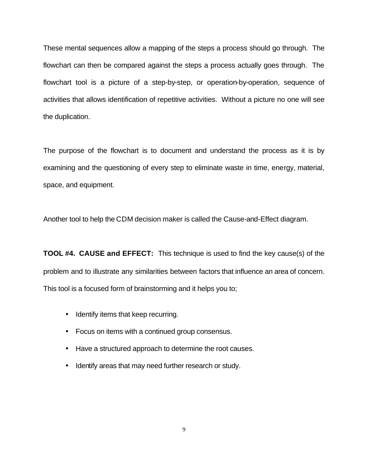These mental sequences allow a mapping of the steps a process should go through. The flowchart can then be compared against the steps a process actually goes through. The flowchart tool is a picture of a step-by-step, or operation-by-operation, sequence of activities that allows identification of repetitive activities. Without a picture no one will see the duplication.

The purpose of the flowchart is to document and understand the process as it is by examining and the questioning of every step to eliminate waste in time, energy, material, space, and equipment.

Another tool to help the CDM decision maker is called the Cause-and-Effect diagram.

**TOOL #4. CAUSE and EFFECT:** This technique is used to find the key cause(s) of the problem and to illustrate any similarities between factors that influence an area of concern. This tool is a focused form of brainstorming and it helps you to;

- Identify items that keep recurring.
- Focus on items with a continued group consensus.
- Have a structured approach to determine the root causes.
- Identify areas that may need further research or study.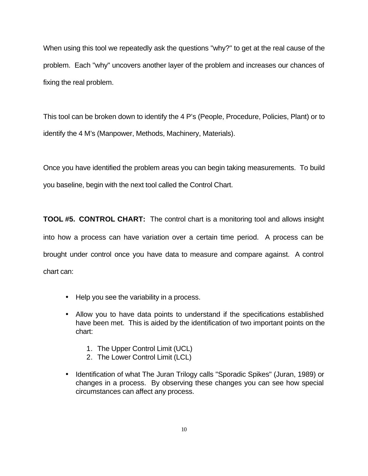When using this tool we repeatedly ask the questions "why?" to get at the real cause of the problem. Each "why" uncovers another layer of the problem and increases our chances of fixing the real problem.

This tool can be broken down to identify the 4 P's (People, Procedure, Policies, Plant) or to identify the 4 M's (Manpower, Methods, Machinery, Materials).

Once you have identified the problem areas you can begin taking measurements. To build you baseline, begin with the next tool called the Control Chart.

**TOOL #5. CONTROL CHART:** The control chart is a monitoring tool and allows insight into how a process can have variation over a certain time period. A process can be brought under control once you have data to measure and compare against. A control chart can:

- Help you see the variability in a process.
- Allow you to have data points to understand if the specifications established have been met. This is aided by the identification of two important points on the chart:
	- 1. The Upper Control Limit (UCL)
	- 2. The Lower Control Limit (LCL)
- Identification of what The Juran Trilogy calls "Sporadic Spikes" (Juran, 1989) or changes in a process. By observing these changes you can see how special circumstances can affect any process.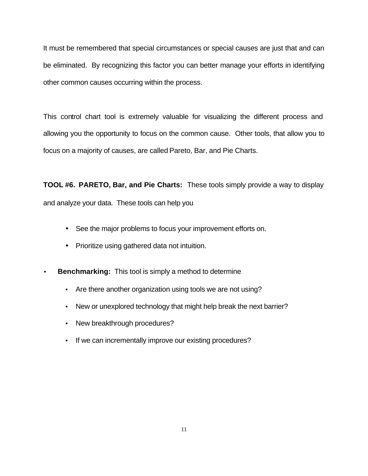It must be remembered that special circumstances or special causes are just that and can be eliminated. By recognizing this factor you can better manage your efforts in identifying other common causes occurring within the process.

This control chart tool is extremely valuable for visualizing the different process and allowing you the opportunity to focus on the common cause. Other tools, that allow you to focus on a majority of causes, are called Pareto, Bar, and Pie Charts.

**TOOL #6. PARETO, Bar, and Pie Charts:** These tools simply provide a way to display and analyze your data. These tools can help you

- See the major problems to focus your improvement efforts on.
- Prioritize using gathered data not intuition.
- **Benchmarking:** This tool is simply a method to determine
	- Are there another organization using tools we are not using?
	- New or unexplored technology that might help break the next barrier?
	- New breakthrough procedures?
	- If we can incrementally improve our existing procedures?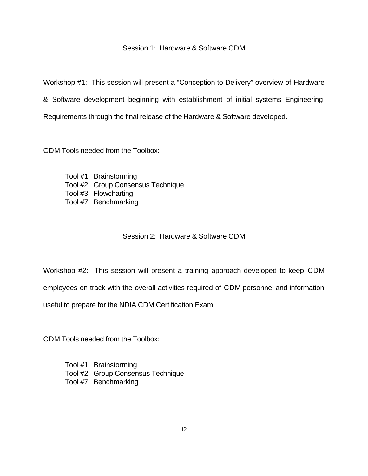#### Session 1: Hardware & Software CDM

Workshop #1: This session will present a "Conception to Delivery" overview of Hardware & Software development beginning with establishment of initial systems Engineering Requirements through the final release of the Hardware & Software developed.

CDM Tools needed from the Toolbox:

Tool #1. Brainstorming Tool #2. Group Consensus Technique Tool #3. Flowcharting Tool #7. Benchmarking

#### Session 2: Hardware & Software CDM

Workshop #2: This session will present a training approach developed to keep CDM employees on track with the overall activities required of CDM personnel and information useful to prepare for the NDIA CDM Certification Exam.

CDM Tools needed from the Toolbox:

Tool #1. Brainstorming Tool #2. Group Consensus Technique Tool #7. Benchmarking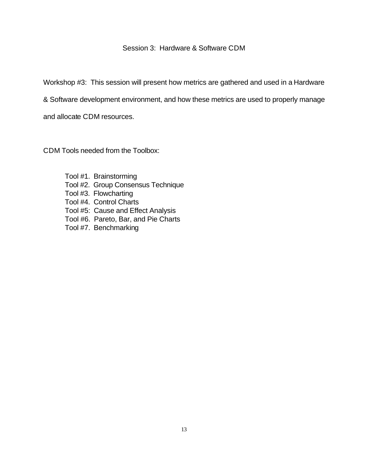#### Session 3: Hardware & Software CDM

Workshop #3: This session will present how metrics are gathered and used in a Hardware

& Software development environment, and how these metrics are used to properly manage

and allocate CDM resources.

CDM Tools needed from the Toolbox:

- Tool #1. Brainstorming
- Tool #2. Group Consensus Technique
- Tool #3. Flowcharting
- Tool #4. Control Charts
- Tool #5: Cause and Effect Analysis
- Tool #6. Pareto, Bar, and Pie Charts
- Tool #7. Benchmarking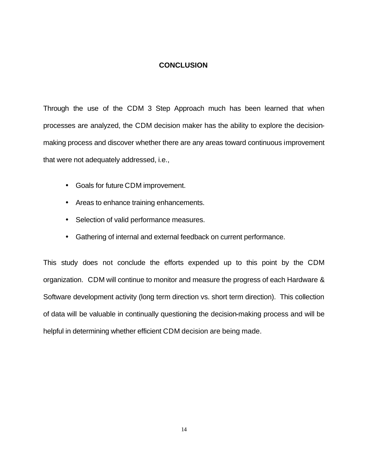#### **CONCLUSION**

Through the use of the CDM 3 Step Approach much has been learned that when processes are analyzed, the CDM decision maker has the ability to explore the decisionmaking process and discover whether there are any areas toward continuous improvement that were not adequately addressed, i.e.,

- Goals for future CDM improvement.
- Areas to enhance training enhancements.
- Selection of valid performance measures.
- Gathering of internal and external feedback on current performance.

This study does not conclude the efforts expended up to this point by the CDM organization. CDM will continue to monitor and measure the progress of each Hardware & Software development activity (long term direction vs. short term direction). This collection of data will be valuable in continually questioning the decision-making process and will be helpful in determining whether efficient CDM decision are being made.